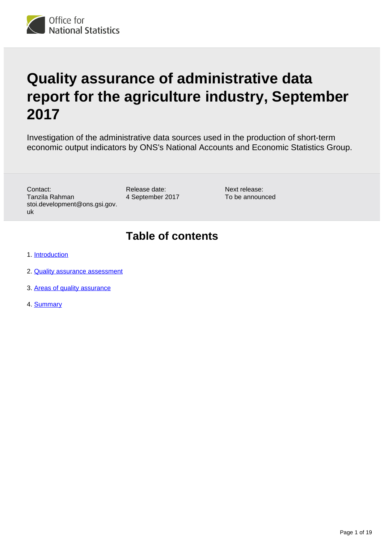

# **Quality assurance of administrative data report for the agriculture industry, September 2017**

Investigation of the administrative data sources used in the production of short-term economic output indicators by ONS's National Accounts and Economic Statistics Group.

Contact: Tanzila Rahman stoi.development@ons.gsi.gov. uk

Release date: 4 September 2017 Next release: To be announced

## **Table of contents**

- 1. [Introduction](#page-1-0)
- 2. [Quality assurance assessment](#page-3-0)
- 3. [Areas of quality assurance](#page-5-0)
- 4. [Summary](#page-18-0)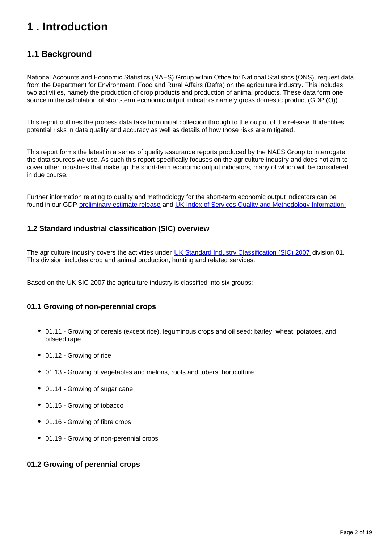## <span id="page-1-0"></span>**1 . Introduction**

### **1.1 Background**

National Accounts and Economic Statistics (NAES) Group within Office for National Statistics (ONS), request data from the Department for Environment, Food and Rural Affairs (Defra) on the agriculture industry. This includes two activities, namely the production of crop products and production of animal products. These data form one source in the calculation of short-term economic output indicators namely gross domestic product (GDP (O)).

This report outlines the process data take from initial collection through to the output of the release. It identifies potential risks in data quality and accuracy as well as details of how those risks are mitigated.

This report forms the latest in a series of quality assurance reports produced by the NAES Group to interrogate the data sources we use. As such this report specifically focuses on the agriculture industry and does not aim to cover other industries that make up the short-term economic output indicators, many of which will be considered in due course.

Further information relating to quality and methodology for the short-term economic output indicators can be found in our GDP [preliminary estimate release](https://www.ons.gov.uk/economy/grossdomesticproductgdp/bulletins/grossdomesticproductpreliminaryestimate/previousReleases) and [UK Index of Services Quality and Methodology Information.](https://www.ons.gov.uk/economy/nationalaccounts/uksectoraccounts/qmis/indexofservicesqmi)

#### **1.2 Standard industrial classification (SIC) overview**

The agriculture industry covers the activities under [UK Standard Industry Classification \(SIC\) 2007](https://www.ons.gov.uk/methodology/classificationsandstandards/ukstandardindustrialclassificationofeconomicactivities/uksic2007) division 01. This division includes crop and animal production, hunting and related services.

Based on the UK SIC 2007 the agriculture industry is classified into six groups:

#### **01.1 Growing of non-perennial crops**

- 01.11 Growing of cereals (except rice), leguminous crops and oil seed: barley, wheat, potatoes, and oilseed rape
- 01.12 Growing of rice
- 01.13 Growing of vegetables and melons, roots and tubers: horticulture
- 01.14 Growing of sugar cane
- 01.15 Growing of tobacco
- 01.16 Growing of fibre crops
- 01.19 Growing of non-perennial crops

#### **01.2 Growing of perennial crops**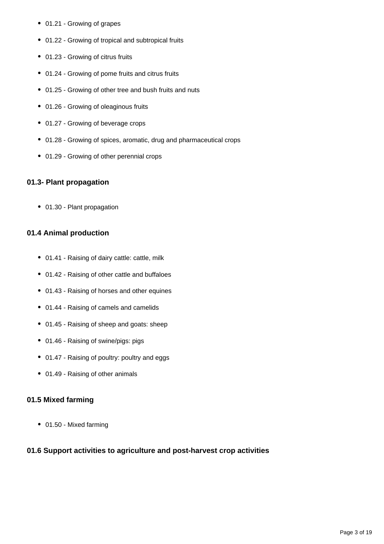- 01.21 Growing of grapes
- 01.22 Growing of tropical and subtropical fruits
- 01.23 Growing of citrus fruits
- 01.24 Growing of pome fruits and citrus fruits
- 01.25 Growing of other tree and bush fruits and nuts
- 01.26 Growing of oleaginous fruits
- 01.27 Growing of beverage crops
- 01.28 Growing of spices, aromatic, drug and pharmaceutical crops
- 01.29 Growing of other perennial crops

#### **01.3- Plant propagation**

• 01.30 - Plant propagation

#### **01.4 Animal production**

- 01.41 Raising of dairy cattle: cattle, milk
- 01.42 Raising of other cattle and buffaloes
- 01.43 Raising of horses and other equines
- 01.44 Raising of camels and camelids
- 01.45 Raising of sheep and goats: sheep
- 01.46 Raising of swine/pigs: pigs
- 01.47 Raising of poultry: poultry and eggs
- 01.49 Raising of other animals

#### **01.5 Mixed farming**

01.50 - Mixed farming

#### **01.6 Support activities to agriculture and post-harvest crop activities**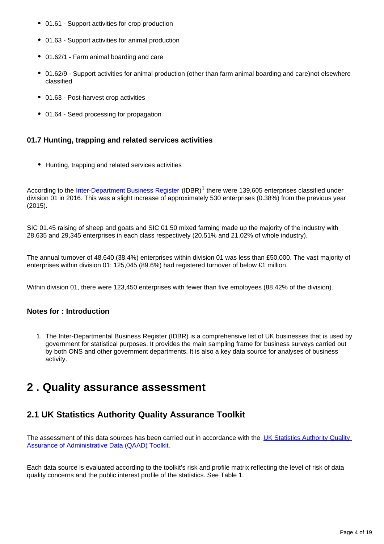- 01.61 Support activities for crop production
- 01.63 Support activities for animal production
- 01.62/1 Farm animal boarding and care
- 01.62/9 Support activities for animal production (other than farm animal boarding and care)not elsewhere classified
- 01.63 Post-harvest crop activities
- 01.64 Seed processing for propagation

#### **01.7 Hunting, trapping and related services activities**

• Hunting, trapping and related services activities

According to the [Inter-Department Business Register](https://www.ons.gov.uk/aboutus/whatwedo/paidservices/interdepartmentalbusinessregisteridbr) (IDBR)<sup>1</sup> there were 139,605 enterprises classified under division 01 in 2016. This was a slight increase of approximately 530 enterprises (0.38%) from the previous year (2015).

SIC 01.45 raising of sheep and goats and SIC 01.50 mixed farming made up the majority of the industry with 28,635 and 29,345 enterprises in each class respectively (20.51% and 21.02% of whole industry).

The annual turnover of 48,640 (38.4%) enterprises within division 01 was less than £50,000. The vast majority of enterprises within division 01; 125,045 (89.6%) had registered turnover of below £1 million.

Within division 01, there were 123,450 enterprises with fewer than five employees (88.42% of the division).

#### **Notes for : Introduction**

1. The Inter-Departmental Business Register (IDBR) is a comprehensive list of UK businesses that is used by government for statistical purposes. It provides the main sampling frame for business surveys carried out by both ONS and other government departments. It is also a key data source for analyses of business activity.

### <span id="page-3-0"></span>**2 . Quality assurance assessment**

### **2.1 UK Statistics Authority Quality Assurance Toolkit**

The assessment of this data sources has been carried out in accordance with the UK Statistics Authority Quality [Assurance of Administrative Data \(QAAD\) Toolkit](https://www.statisticsauthority.gov.uk/publication/administrative-data-quality-assurance-toolkit/).

Each data source is evaluated according to the toolkit's risk and profile matrix reflecting the level of risk of data quality concerns and the public interest profile of the statistics. See Table 1.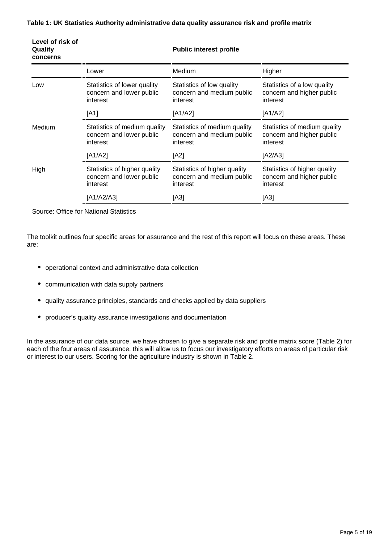| Level of risk of<br>Quality<br>concerns |                                                                      | <b>Public interest profile</b>                                        |                                                                       |  |
|-----------------------------------------|----------------------------------------------------------------------|-----------------------------------------------------------------------|-----------------------------------------------------------------------|--|
|                                         | Lower                                                                | Medium                                                                | Higher                                                                |  |
| Low                                     | Statistics of lower quality<br>concern and lower public<br>interest  | Statistics of low quality<br>concern and medium public<br>interest    | Statistics of a low quality<br>concern and higher public<br>interest  |  |
|                                         | [A1]                                                                 | [A1/A2]                                                               | [A1/A2]                                                               |  |
| Medium                                  | Statistics of medium quality<br>concern and lower public<br>interest | Statistics of medium quality<br>concern and medium public<br>interest | Statistics of medium quality<br>concern and higher public<br>interest |  |
|                                         | [A1/A2]                                                              | [A2]                                                                  | [A2/A3]                                                               |  |
| High                                    | Statistics of higher quality<br>concern and lower public<br>interest | Statistics of higher quality<br>concern and medium public<br>interest | Statistics of higher quality<br>concern and higher public<br>interest |  |
|                                         | [A1/A2/A3]                                                           | [A3]                                                                  | [A3]                                                                  |  |

#### **Table 1: UK Statistics Authority administrative data quality assurance risk and profile matrix**

Source: Office for National Statistics

The toolkit outlines four specific areas for assurance and the rest of this report will focus on these areas. These are:

- operational context and administrative data collection
- communication with data supply partners
- quality assurance principles, standards and checks applied by data suppliers
- producer's quality assurance investigations and documentation

In the assurance of our data source, we have chosen to give a separate risk and profile matrix score (Table 2) for each of the four areas of assurance, this will allow us to focus our investigatory efforts on areas of particular risk or interest to our users. Scoring for the agriculture industry is shown in Table 2.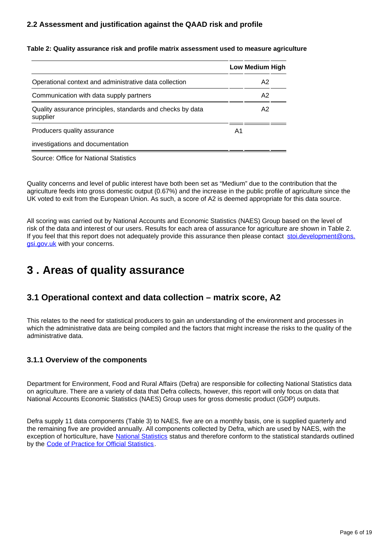#### **2.2 Assessment and justification against the QAAD risk and profile**

|                                                                        |  | Low Medium High |
|------------------------------------------------------------------------|--|-----------------|
| Operational context and administrative data collection                 |  | A <sub>2</sub>  |
| Communication with data supply partners                                |  | A2              |
| Quality assurance principles, standards and checks by data<br>supplier |  | A <sub>2</sub>  |
| Producers quality assurance                                            |  |                 |
| investigations and documentation                                       |  |                 |

**Table 2: Quality assurance risk and profile matrix assessment used to measure agriculture**

Source: Office for National Statistics

Quality concerns and level of public interest have both been set as "Medium" due to the contribution that the agriculture feeds into gross domestic output (0.67%) and the increase in the public profile of agriculture since the UK voted to exit from the European Union. As such, a score of A2 is deemed appropriate for this data source.

All scoring was carried out by National Accounts and Economic Statistics (NAES) Group based on the level of risk of the data and interest of our users. Results for each area of assurance for agriculture are shown in Table 2. If you feel that this report does not adequately provide this assurance then please contact [stoi.development@ons.](http://stoi.development@ons.gsi.gov.uk) [gsi.gov.uk](http://stoi.development@ons.gsi.gov.uk) with your concerns.

## <span id="page-5-0"></span>**3 . Areas of quality assurance**

### **3.1 Operational context and data collection – matrix score, A2**

This relates to the need for statistical producers to gain an understanding of the environment and processes in which the administrative data are being compiled and the factors that might increase the risks to the quality of the administrative data.

#### **3.1.1 Overview of the components**

Department for Environment, Food and Rural Affairs (Defra) are responsible for collecting National Statistics data on agriculture. There are a variety of data that Defra collects, however, this report will only focus on data that National Accounts Economic Statistics (NAES) Group uses for gross domestic product (GDP) outputs.

Defra supply 11 data components (Table 3) to NAES, five are on a monthly basis, one is supplied quarterly and the remaining five are provided annually. All components collected by Defra, which are used by NAES, with the exception of horticulture, have [National Statistics](https://www.statisticsauthority.gov.uk/national-statistician/types-of-official-statistics/) status and therefore conform to the statistical standards outlined by the [Code of Practice for Official Statistics](https://www.statisticsauthority.gov.uk/osr/code-of-practice/).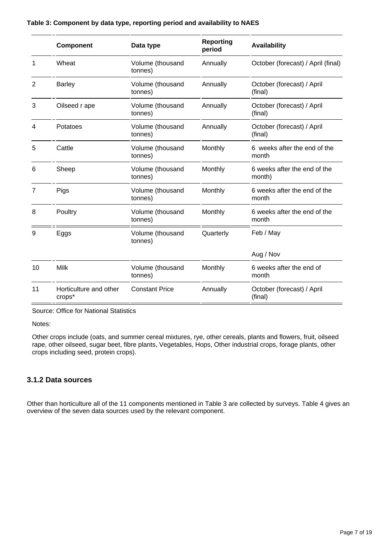#### **Table 3: Component by data type, reporting period and availability to NAES**

|    | <b>Component</b>                 | Data type                   | <b>Reporting</b><br>period | <b>Availability</b>                    |
|----|----------------------------------|-----------------------------|----------------------------|----------------------------------------|
| 1  | Wheat                            | Volume (thousand<br>tonnes) | Annually                   | October (forecast) / April (final)     |
| 2  | <b>Barley</b>                    | Volume (thousand<br>tonnes) | Annually                   | October (forecast) / April<br>(final)  |
| 3  | Oilseed r ape                    | Volume (thousand<br>tonnes) | Annually                   | October (forecast) / April<br>(final)  |
| 4  | Potatoes                         | Volume (thousand<br>tonnes) | Annually                   | October (forecast) / April<br>(final)  |
| 5  | Cattle                           | Volume (thousand<br>tonnes) | Monthly                    | 6 weeks after the end of the<br>month  |
| 6  | Sheep                            | Volume (thousand<br>tonnes) | Monthly                    | 6 weeks after the end of the<br>month) |
| 7  | Pigs                             | Volume (thousand<br>tonnes) | Monthly                    | 6 weeks after the end of the<br>month  |
| 8  | Poultry                          | Volume (thousand<br>tonnes) | Monthly                    | 6 weeks after the end of the<br>month  |
| 9  | Eggs                             | Volume (thousand<br>tonnes) | Quarterly                  | Feb / May                              |
|    |                                  |                             |                            | Aug / Nov                              |
| 10 | Milk                             | Volume (thousand<br>tonnes) | Monthly                    | 6 weeks after the end of<br>month      |
| 11 | Horticulture and other<br>crops* | <b>Constant Price</b>       | Annually                   | October (forecast) / April<br>(final)  |

Source: Office for National Statistics

Notes:

Other crops include (oats, and summer cereal mixtures, rye, other cereals, plants and flowers, fruit, oilseed rape, other oilseed, sugar beet, fibre plants, Vegetables, Hops, Other industrial crops, forage plants, other crops including seed, protein crops).

#### **3.1.2 Data sources**

Other than horticulture all of the 11 components mentioned in Table 3 are collected by surveys. Table 4 gives an overview of the seven data sources used by the relevant component.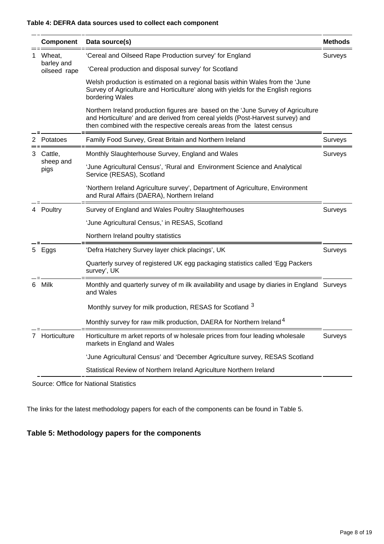#### **Table 4: DEFRA data sources used to collect each component**

|    | <b>Component</b>                     | Data source(s)                                                                                                                                                                                                                               | <b>Methods</b> |
|----|--------------------------------------|----------------------------------------------------------------------------------------------------------------------------------------------------------------------------------------------------------------------------------------------|----------------|
| 1  | Wheat,<br>barley and<br>oilseed rape | 'Cereal and Oilseed Rape Production survey' for England                                                                                                                                                                                      |                |
|    |                                      | 'Cereal production and disposal survey' for Scotland                                                                                                                                                                                         |                |
|    |                                      | Welsh production is estimated on a regional basis within Wales from the 'June<br>Survey of Agriculture and Horticulture' along with yields for the English regions<br>bordering Wales                                                        |                |
|    |                                      | Northern Ireland production figures are based on the 'June Survey of Agriculture<br>and Horticulture' and are derived from cereal yields (Post-Harvest survey) and<br>then combined with the respective cereals areas from the latest census |                |
|    | Potatoes                             | Family Food Survey, Great Britain and Northern Ireland                                                                                                                                                                                       | Surveys        |
| 3  | Cattle,<br>sheep and<br>pigs         | Monthly Slaughterhouse Survey, England and Wales                                                                                                                                                                                             |                |
|    |                                      | 'June Agricultural Census', 'Rural and Environment Science and Analytical<br>Service (RESAS), Scotland                                                                                                                                       |                |
|    |                                      | 'Northern Ireland Agriculture survey', Department of Agriculture, Environment<br>and Rural Affairs (DAERA), Northern Ireland                                                                                                                 |                |
|    | 4 Poultry                            | Survey of England and Wales Poultry Slaughterhouses<br>Surveys                                                                                                                                                                               |                |
|    |                                      | 'June Agricultural Census,' in RESAS, Scotland                                                                                                                                                                                               |                |
|    |                                      | Northern Ireland poultry statistics                                                                                                                                                                                                          |                |
| 5. | Eggs                                 | 'Defra Hatchery Survey layer chick placings', UK                                                                                                                                                                                             | Surveys        |
|    |                                      | Quarterly survey of registered UK egg packaging statistics called 'Egg Packers<br>survey', UK                                                                                                                                                |                |
| 6  | Milk                                 | Monthly and quarterly survey of m ilk availability and usage by diaries in England Surveys<br>and Wales                                                                                                                                      |                |
|    |                                      | Monthly survey for milk production, RESAS for Scotland 3                                                                                                                                                                                     |                |
|    |                                      | Monthly survey for raw milk production, DAERA for Northern Ireland <sup>4</sup>                                                                                                                                                              |                |
|    | Horticulture                         | Horticulture m arket reports of w holesale prices from four leading wholesale<br>markets in England and Wales                                                                                                                                | Surveys        |
|    |                                      | 'June Agricultural Census' and 'December Agriculture survey, RESAS Scotland                                                                                                                                                                  |                |
|    |                                      | Statistical Review of Northern Ireland Agriculture Northern Ireland                                                                                                                                                                          |                |

Source: Office for National Statistics

The links for the latest methodology papers for each of the components can be found in Table 5.

#### **Table 5: Methodology papers for the components**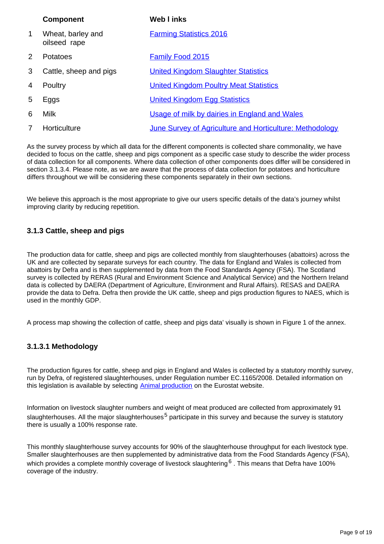|              | <b>Component</b>                  | <b>Web I inks</b>                                               |
|--------------|-----------------------------------|-----------------------------------------------------------------|
| $\mathbf{1}$ | Wheat, barley and<br>oilseed rape | <b>Farming Statistics 2016</b>                                  |
| 2            | Potatoes                          | <b>Family Food 2015</b>                                         |
| 3            | Cattle, sheep and pigs            | <b>United Kingdom Slaughter Statistics</b>                      |
| 4            | Poultry                           | <b>United Kingdom Poultry Meat Statistics</b>                   |
| 5            | Eggs                              | <b>United Kingdom Egg Statistics</b>                            |
| 6            | <b>Milk</b>                       | Usage of milk by dairies in England and Wales                   |
| 7            | Horticulture                      | <b>June Survey of Agriculture and Horticulture: Methodology</b> |

As the survey process by which all data for the different components is collected share commonality, we have decided to focus on the cattle, sheep and pigs component as a specific case study to describe the wider process of data collection for all components. Where data collection of other components does differ will be considered in section 3.1.3.4. Please note, as we are aware that the process of data collection for potatoes and horticulture differs throughout we will be considering these components separately in their own sections.

We believe this approach is the most appropriate to give our users specific details of the data's journey whilst improving clarity by reducing repetition.

#### **3.1.3 Cattle, sheep and pigs**

The production data for cattle, sheep and pigs are collected monthly from slaughterhouses (abattoirs) across the UK and are collected by separate surveys for each country. The data for England and Wales is collected from abattoirs by Defra and is then supplemented by data from the Food Standards Agency (FSA). The Scotland survey is collected by RERAS (Rural and Environment Science and Analytical Service) and the Northern Ireland data is collected by DAERA (Department of Agriculture, Environment and Rural Affairs). RESAS and DAERA provide the data to Defra. Defra then provide the UK cattle, sheep and pigs production figures to NAES, which is used in the monthly GDP.

A process map showing the collection of cattle, sheep and pigs data' visually is shown in Figure 1 of the annex.

#### **3.1.3.1 Methodology**

The production figures for cattle, sheep and pigs in England and Wales is collected by a statutory monthly survey, run by Defra, of registered slaughterhouses, under Regulation number EC.1165/2008. Detailed information on this legislation is available by selecting [Animal production](http://epp.eurostat.ec.europa.eu/portal/page/portal/agriculture/legislation) on the Eurostat website.

Information on livestock slaughter numbers and weight of meat produced are collected from approximately 91 slaughterhouses. All the major slaughterhouses<sup>5</sup> participate in this survey and because the survey is statutory there is usually a 100% response rate.

This monthly slaughterhouse survey accounts for 90% of the slaughterhouse throughput for each livestock type. Smaller slaughterhouses are then supplemented by administrative data from the Food Standards Agency (FSA), which provides a complete monthly coverage of livestock slaughtering  $6$ . This means that Defra have 100% coverage of the industry.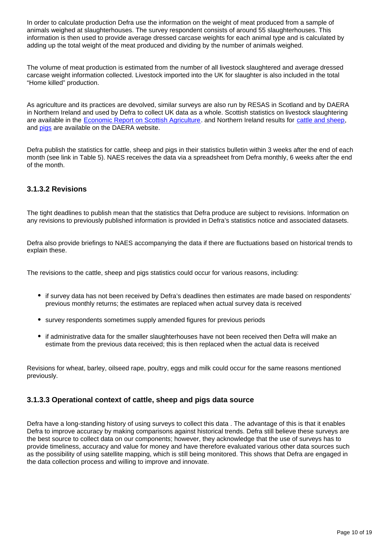In order to calculate production Defra use the information on the weight of meat produced from a sample of animals weighed at slaughterhouses. The survey respondent consists of around 55 slaughterhouses. This information is then used to provide average dressed carcase weights for each animal type and is calculated by adding up the total weight of the meat produced and dividing by the number of animals weighed.

The volume of meat production is estimated from the number of all livestock slaughtered and average dressed carcase weight information collected. Livestock imported into the UK for slaughter is also included in the total "Home killed" production.

As agriculture and its practices are devolved, similar surveys are also run by RESAS in Scotland and by DAERA in Northern Ireland and used by Defra to collect UK data as a whole. Scottish statistics on livestock slaughtering are available in the [Economic Report on Scottish Agriculture.](http://www.gov.scot/Resource/0050/00501417.pdf) and Northern Ireland results for [cattle and sheep,](https://www.daera-ni.gov.uk/articles/slaughtering-cattle-and-sheep) and **pigs** are available on the DAERA website.

Defra publish the statistics for cattle, sheep and pigs in their statistics bulletin within 3 weeks after the end of each month (see link in Table 5). NAES receives the data via a spreadsheet from Defra monthly, 6 weeks after the end of the month.

#### **3.1.3.2 Revisions**

The tight deadlines to publish mean that the statistics that Defra produce are subject to revisions. Information on any revisions to previously published information is provided in Defra's statistics notice and associated datasets.

Defra also provide briefings to NAES accompanying the data if there are fluctuations based on historical trends to explain these.

The revisions to the cattle, sheep and pigs statistics could occur for various reasons, including:

- if survey data has not been received by Defra's deadlines then estimates are made based on respondents' previous monthly returns; the estimates are replaced when actual survey data is received
- survey respondents sometimes supply amended figures for previous periods
- if administrative data for the smaller slaughterhouses have not been received then Defra will make an estimate from the previous data received; this is then replaced when the actual data is received

Revisions for wheat, barley, oilseed rape, poultry, eggs and milk could occur for the same reasons mentioned previously.

#### **3.1.3.3 Operational context of cattle, sheep and pigs data source**

Defra have a long-standing history of using surveys to collect this data . The advantage of this is that it enables Defra to improve accuracy by making comparisons against historical trends. Defra still believe these surveys are the best source to collect data on our components; however, they acknowledge that the use of surveys has to provide timeliness, accuracy and value for money and have therefore evaluated various other data sources such as the possibility of using satellite mapping, which is still being monitored. This shows that Defra are engaged in the data collection process and willing to improve and innovate.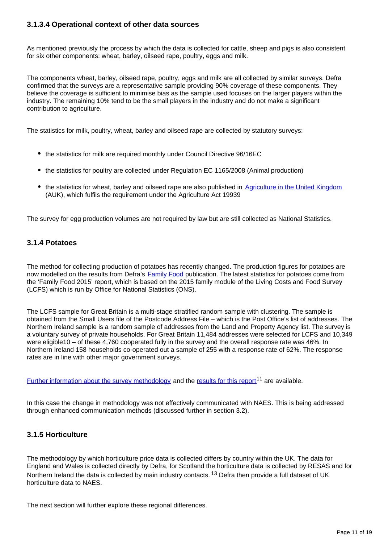#### **3.1.3.4 Operational context of other data sources**

As mentioned previously the process by which the data is collected for cattle, sheep and pigs is also consistent for six other components: wheat, barley, oilseed rape, poultry, eggs and milk.

The components wheat, barley, oilseed rape, poultry, eggs and milk are all collected by similar surveys. Defra confirmed that the surveys are a representative sample providing 90% coverage of these components. They believe the coverage is sufficient to minimise bias as the sample used focuses on the larger players within the industry. The remaining 10% tend to be the small players in the industry and do not make a significant contribution to agriculture.

The statistics for milk, poultry, wheat, barley and oilseed rape are collected by statutory surveys:

- the statistics for milk are required monthly under Council Directive 96/16EC
- the statistics for poultry are collected under Regulation EC 1165/2008 (Animal production)
- the statistics for wheat, barley and oilseed rape are also published in [Agriculture in the United Kingdom](https://www.gov.uk/government/collections/agriculture-in-the-united-kingdom) (AUK), which fulfils the requirement under the Agriculture Act 19939

The survey for egg production volumes are not required by law but are still collected as National Statistics.

#### **3.1.4 Potatoes**

The method for collecting production of potatoes has recently changed. The production figures for potatoes are now modelled on the results from Defra's **Family Food** publication. The latest statistics for potatoes come from the 'Family Food 2015' report, which is based on the 2015 family module of the Living Costs and Food Survey (LCFS) which is run by Office for National Statistics (ONS).

The LCFS sample for Great Britain is a multi-stage stratified random sample with clustering. The sample is obtained from the Small Users file of the Postcode Address File – which is the Post Office's list of addresses. The Northern Ireland sample is a random sample of addresses from the Land and Property Agency list. The survey is a voluntary survey of private households. For Great Britain 11,484 addresses were selected for LCFS and 10,349 were eligible10 – of these 4,760 cooperated fully in the survey and the overall response rate was 46%. In Northern Ireland 158 households co-operated out a sample of 255 with a response rate of 62%. The response rates are in line with other major government surveys.

[Further information about the survey methodology](https://www.gov.uk/government/publications/family-food-methodology) and the [results for this report](https://www.gov.uk/government/uploads/system/uploads/attachment_data/file/597667/Family_Food_2015-09mar17.pdf)<sup>11</sup> are available.

In this case the change in methodology was not effectively communicated with NAES. This is being addressed through enhanced communication methods (discussed further in section 3.2).

#### **3.1.5 Horticulture**

The methodology by which horticulture price data is collected differs by country within the UK. The data for England and Wales is collected directly by Defra, for Scotland the horticulture data is collected by RESAS and for Northern Ireland the data is collected by main industry contacts. <sup>13</sup> Defra then provide a full dataset of UK horticulture data to NAES.

The next section will further explore these regional differences.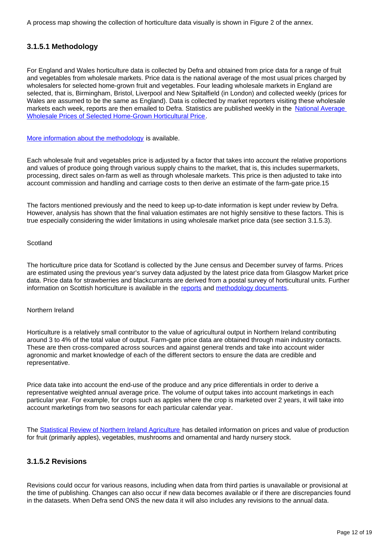A process map showing the collection of horticulture data visually is shown in Figure 2 of the annex.

#### **3.1.5.1 Methodology**

For England and Wales horticulture data is collected by Defra and obtained from price data for a range of fruit and vegetables from wholesale markets. Price data is the national average of the most usual prices charged by wholesalers for selected home-grown fruit and vegetables. Four leading wholesale markets in England are selected, that is, Birmingham, Bristol, Liverpool and New Spitalfield (in London) and collected weekly (prices for Wales are assumed to be the same as England). Data is collected by market reporters visiting these wholesale markets each week, reports are then emailed to Defra. Statistics are published weekly in the [National Average](https://www.gov.uk/government/statistical-data-sets/wholesale-fruit-and-vegetable-prices-weekly-average)  [Wholesale Prices of Selected Home-Grown Horticultural Price.](https://www.gov.uk/government/statistical-data-sets/wholesale-fruit-and-vegetable-prices-weekly-average)

[More information about the methodology](https://www.gov.uk/government/collections/fruit-and-vegetable-wholesale-prices) is available.

Each wholesale fruit and vegetables price is adjusted by a factor that takes into account the relative proportions and values of produce going through various supply chains to the market, that is, this includes supermarkets, processing, direct sales on-farm as well as through wholesale markets. This price is then adjusted to take into account commission and handling and carriage costs to then derive an estimate of the farm-gate price.15

The factors mentioned previously and the need to keep up-to-date information is kept under review by Defra. However, analysis has shown that the final valuation estimates are not highly sensitive to these factors. This is true especially considering the wider limitations in using wholesale market price data (see section 3.1.5.3).

#### **Scotland**

The horticulture price data for Scotland is collected by the June census and December survey of farms. Prices are estimated using the previous year's survey data adjusted by the latest price data from Glasgow Market price data. Price data for strawberries and blackcurrants are derived from a postal survey of horticultural units. Further information on Scottish horticulture is available in the [reports](http://www.gov.scot/Topics/Statistics/Browse/Agriculture-Fisheries/PubEconomicReport) and [methodology documents](http://www.gov.scot/Resource/0044/00442883.pdf).

#### Northern Ireland

Horticulture is a relatively small contributor to the value of agricultural output in Northern Ireland contributing around 3 to 4% of the total value of output. Farm-gate price data are obtained through main industry contacts. These are then cross-compared across sources and against general trends and take into account wider agronomic and market knowledge of each of the different sectors to ensure the data are credible and representative.

Price data take into account the end-use of the produce and any price differentials in order to derive a representative weighted annual average price. The volume of output takes into account marketings in each particular year. For example, for crops such as apples where the crop is marketed over 2 years, it will take into account marketings from two seasons for each particular calendar year.

The [Statistical Review of Northern Ireland Agriculture](https://www.daera-ni.gov.uk/articles/statistical-review-ni-agriculture) has detailed information on prices and value of production for fruit (primarily apples), vegetables, mushrooms and ornamental and hardy nursery stock.

#### **3.1.5.2 Revisions**

Revisions could occur for various reasons, including when data from third parties is unavailable or provisional at the time of publishing. Changes can also occur if new data becomes available or if there are discrepancies found in the datasets. When Defra send ONS the new data it will also includes any revisions to the annual data.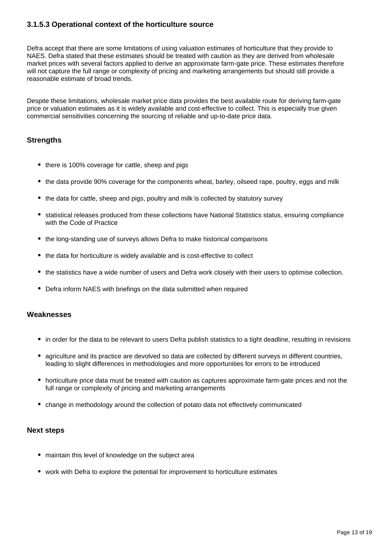#### **3.1.5.3 Operational context of the horticulture source**

Defra accept that there are some limitations of using valuation estimates of horticulture that they provide to NAES. Defra stated that these estimates should be treated with caution as they are derived from wholesale market prices with several factors applied to derive an approximate farm-gate price. These estimates therefore will not capture the full range or complexity of pricing and marketing arrangements but should still provide a reasonable estimate of broad trends.

Despite these limitations, wholesale market price data provides the best available route for deriving farm-gate price or valuation estimates as it is widely available and cost-effective to collect. This is especially true given commercial sensitivities concerning the sourcing of reliable and up-to-date price data.

#### **Strengths**

- there is 100% coverage for cattle, sheep and pigs
- the data provide 90% coverage for the components wheat, barley, oilseed rape, poultry, eggs and milk
- the data for cattle, sheep and pigs, poultry and milk is collected by statutory survey
- statistical releases produced from these collections have National Statistics status, ensuring compliance with the Code of Practice
- the long-standing use of surveys allows Defra to make historical comparisons
- the data for horticulture is widely available and is cost-effective to collect
- the statistics have a wide number of users and Defra work closely with their users to optimise collection.
- Defra inform NAES with briefings on the data submitted when required

#### **Weaknesses**

- in order for the data to be relevant to users Defra publish statistics to a tight deadline, resulting in revisions
- agriculture and its practice are devolved so data are collected by different surveys in different countries, leading to slight differences in methodologies and more opportunities for errors to be introduced
- horticulture price data must be treated with caution as captures approximate farm-gate prices and not the full range or complexity of pricing and marketing arrangements
- change in methodology around the collection of potato data not effectively communicated

#### **Next steps**

- maintain this level of knowledge on the subject area
- work with Defra to explore the potential for improvement to horticulture estimates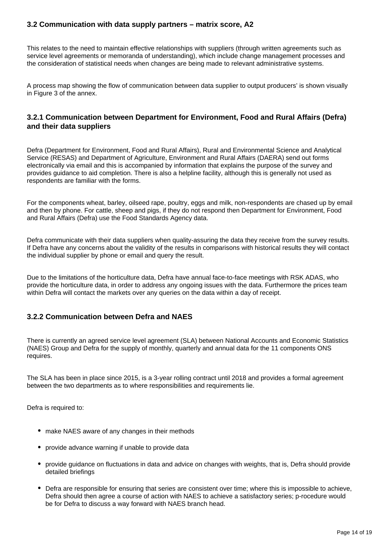#### **3.2 Communication with data supply partners – matrix score, A2**

This relates to the need to maintain effective relationships with suppliers (through written agreements such as service level agreements or memoranda of understanding), which include change management processes and the consideration of statistical needs when changes are being made to relevant administrative systems.

A process map showing the flow of communication between data supplier to output producers' is shown visually in Figure 3 of the annex.

#### **3.2.1 Communication between Department for Environment, Food and Rural Affairs (Defra) and their data suppliers**

Defra (Department for Environment, Food and Rural Affairs), Rural and Environmental Science and Analytical Service (RESAS) and Department of Agriculture, Environment and Rural Affairs (DAERA) send out forms electronically via email and this is accompanied by information that explains the purpose of the survey and provides guidance to aid completion. There is also a helpline facility, although this is generally not used as respondents are familiar with the forms.

For the components wheat, barley, oilseed rape, poultry, eggs and milk, non-respondents are chased up by email and then by phone. For cattle, sheep and pigs, if they do not respond then Department for Environment, Food and Rural Affairs (Defra) use the Food Standards Agency data.

Defra communicate with their data suppliers when quality-assuring the data they receive from the survey results. If Defra have any concerns about the validity of the results in comparisons with historical results they will contact the individual supplier by phone or email and query the result.

Due to the limitations of the horticulture data, Defra have annual face-to-face meetings with RSK ADAS, who provide the horticulture data, in order to address any ongoing issues with the data. Furthermore the prices team within Defra will contact the markets over any queries on the data within a day of receipt.

#### **3.2.2 Communication between Defra and NAES**

There is currently an agreed service level agreement (SLA) between National Accounts and Economic Statistics (NAES) Group and Defra for the supply of monthly, quarterly and annual data for the 11 components ONS requires.

The SLA has been in place since 2015, is a 3-year rolling contract until 2018 and provides a formal agreement between the two departments as to where responsibilities and requirements lie.

Defra is required to:

- make NAES aware of any changes in their methods
- provide advance warning if unable to provide data
- provide guidance on fluctuations in data and advice on changes with weights, that is, Defra should provide detailed briefings
- Defra are responsible for ensuring that series are consistent over time; where this is impossible to achieve, Defra should then agree a course of action with NAES to achieve a satisfactory series; p-rocedure would be for Defra to discuss a way forward with NAES branch head.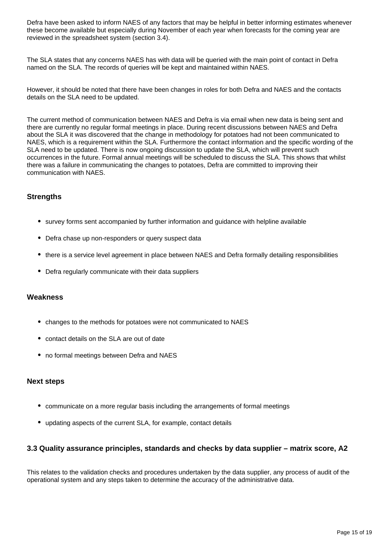Defra have been asked to inform NAES of any factors that may be helpful in better informing estimates whenever these become available but especially during November of each year when forecasts for the coming year are reviewed in the spreadsheet system (section 3.4).

The SLA states that any concerns NAES has with data will be queried with the main point of contact in Defra named on the SLA. The records of queries will be kept and maintained within NAES.

However, it should be noted that there have been changes in roles for both Defra and NAES and the contacts details on the SLA need to be updated.

The current method of communication between NAES and Defra is via email when new data is being sent and there are currently no regular formal meetings in place. During recent discussions between NAES and Defra about the SLA it was discovered that the change in methodology for potatoes had not been communicated to NAES, which is a requirement within the SLA. Furthermore the contact information and the specific wording of the SLA need to be updated. There is now ongoing discussion to update the SLA, which will prevent such occurrences in the future. Formal annual meetings will be scheduled to discuss the SLA. This shows that whilst there was a failure in communicating the changes to potatoes, Defra are committed to improving their communication with NAES.

#### **Strengths**

- survey forms sent accompanied by further information and guidance with helpline available
- Defra chase up non-responders or query suspect data
- there is a service level agreement in place between NAES and Defra formally detailing responsibilities
- Defra regularly communicate with their data suppliers

#### **Weakness**

- changes to the methods for potatoes were not communicated to NAES
- contact details on the SLA are out of date
- no formal meetings between Defra and NAES

#### **Next steps**

- communicate on a more regular basis including the arrangements of formal meetings
- updating aspects of the current SLA, for example, contact details

#### **3.3 Quality assurance principles, standards and checks by data supplier – matrix score, A2**

This relates to the validation checks and procedures undertaken by the data supplier, any process of audit of the operational system and any steps taken to determine the accuracy of the administrative data.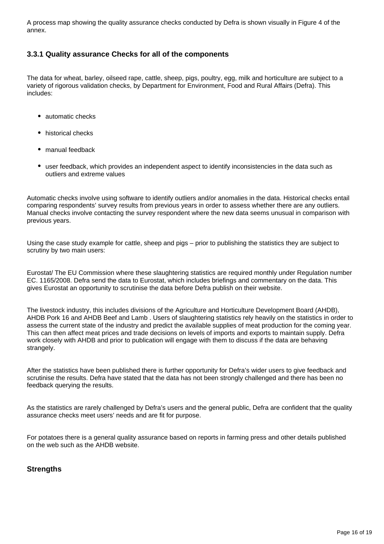A process map showing the quality assurance checks conducted by Defra is shown visually in Figure 4 of the annex.

#### **3.3.1 Quality assurance Checks for all of the components**

The data for wheat, barley, oilseed rape, cattle, sheep, pigs, poultry, egg, milk and horticulture are subject to a variety of rigorous validation checks, by Department for Environment, Food and Rural Affairs (Defra). This includes:

- automatic checks
- historical checks
- manual feedback
- user feedback, which provides an independent aspect to identify inconsistencies in the data such as outliers and extreme values

Automatic checks involve using software to identify outliers and/or anomalies in the data. Historical checks entail comparing respondents' survey results from previous years in order to assess whether there are any outliers. Manual checks involve contacting the survey respondent where the new data seems unusual in comparison with previous years.

Using the case study example for cattle, sheep and pigs – prior to publishing the statistics they are subject to scrutiny by two main users:

Eurostat/ The EU Commission where these slaughtering statistics are required monthly under Regulation number EC. 1165/2008. Defra send the data to Eurostat, which includes briefings and commentary on the data. This gives Eurostat an opportunity to scrutinise the data before Defra publish on their website.

The livestock industry, this includes divisions of the Agriculture and Horticulture Development Board (AHDB), AHDB Pork 16 and AHDB Beef and Lamb . Users of slaughtering statistics rely heavily on the statistics in order to assess the current state of the industry and predict the available supplies of meat production for the coming year. This can then affect meat prices and trade decisions on levels of imports and exports to maintain supply. Defra work closely with AHDB and prior to publication will engage with them to discuss if the data are behaving strangely.

After the statistics have been published there is further opportunity for Defra's wider users to give feedback and scrutinise the results. Defra have stated that the data has not been strongly challenged and there has been no feedback querying the results.

As the statistics are rarely challenged by Defra's users and the general public, Defra are confident that the quality assurance checks meet users' needs and are fit for purpose.

For potatoes there is a general quality assurance based on reports in farming press and other details published on the web such as the AHDB website.

#### **Strengths**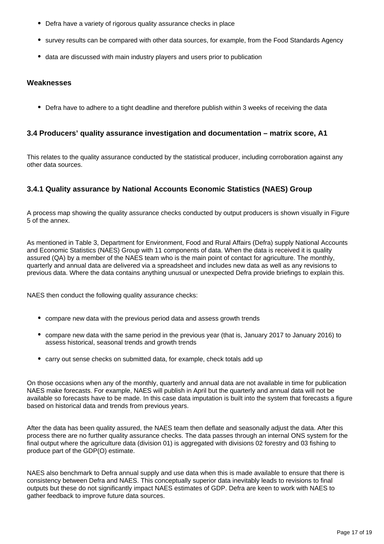- Defra have a variety of rigorous quality assurance checks in place
- survey results can be compared with other data sources, for example, from the Food Standards Agency
- data are discussed with main industry players and users prior to publication

#### **Weaknesses**

Defra have to adhere to a tight deadline and therefore publish within 3 weeks of receiving the data

#### **3.4 Producers' quality assurance investigation and documentation – matrix score, A1**

This relates to the quality assurance conducted by the statistical producer, including corroboration against any other data sources.

#### **3.4.1 Quality assurance by National Accounts Economic Statistics (NAES) Group**

A process map showing the quality assurance checks conducted by output producers is shown visually in Figure 5 of the annex.

As mentioned in Table 3, Department for Environment, Food and Rural Affairs (Defra) supply National Accounts and Economic Statistics (NAES) Group with 11 components of data. When the data is received it is quality assured (QA) by a member of the NAES team who is the main point of contact for agriculture. The monthly, quarterly and annual data are delivered via a spreadsheet and includes new data as well as any revisions to previous data. Where the data contains anything unusual or unexpected Defra provide briefings to explain this.

NAES then conduct the following quality assurance checks:

- compare new data with the previous period data and assess growth trends
- compare new data with the same period in the previous year (that is, January 2017 to January 2016) to assess historical, seasonal trends and growth trends
- carry out sense checks on submitted data, for example, check totals add up

On those occasions when any of the monthly, quarterly and annual data are not available in time for publication NAES make forecasts. For example, NAES will publish in April but the quarterly and annual data will not be available so forecasts have to be made. In this case data imputation is built into the system that forecasts a figure based on historical data and trends from previous years.

After the data has been quality assured, the NAES team then deflate and seasonally adjust the data. After this process there are no further quality assurance checks. The data passes through an internal ONS system for the final output where the agriculture data (division 01) is aggregated with divisions 02 forestry and 03 fishing to produce part of the GDP(O) estimate.

NAES also benchmark to Defra annual supply and use data when this is made available to ensure that there is consistency between Defra and NAES. This conceptually superior data inevitably leads to revisions to final outputs but these do not significantly impact NAES estimates of GDP. Defra are keen to work with NAES to gather feedback to improve future data sources.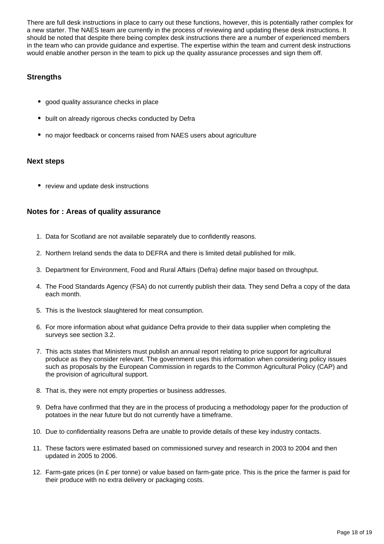There are full desk instructions in place to carry out these functions, however, this is potentially rather complex for a new starter. The NAES team are currently in the process of reviewing and updating these desk instructions. It should be noted that despite there being complex desk instructions there are a number of experienced members in the team who can provide guidance and expertise. The expertise within the team and current desk instructions would enable another person in the team to pick up the quality assurance processes and sign them off.

#### **Strengths**

- good quality assurance checks in place
- built on already rigorous checks conducted by Defra
- no major feedback or concerns raised from NAES users about agriculture

#### **Next steps**

• review and update desk instructions

#### **Notes for : Areas of quality assurance**

- 1. Data for Scotland are not available separately due to confidently reasons.
- 2. Northern Ireland sends the data to DEFRA and there is limited detail published for milk.
- 3. Department for Environment, Food and Rural Affairs (Defra) define major based on throughput.
- 4. The Food Standards Agency (FSA) do not currently publish their data. They send Defra a copy of the data each month.
- 5. This is the livestock slaughtered for meat consumption.
- 6. For more information about what guidance Defra provide to their data supplier when completing the surveys see section 3.2.
- 7. This acts states that Ministers must publish an annual report relating to price support for agricultural produce as they consider relevant. The government uses this information when considering policy issues such as proposals by the European Commission in regards to the Common Agricultural Policy (CAP) and the provision of agricultural support.
- 8. That is, they were not empty properties or business addresses.
- 9. Defra have confirmed that they are in the process of producing a methodology paper for the production of potatoes in the near future but do not currently have a timeframe.
- 10. Due to confidentiality reasons Defra are unable to provide details of these key industry contacts.
- 11. These factors were estimated based on commissioned survey and research in 2003 to 2004 and then updated in 2005 to 2006.
- 12. Farm-gate prices (in £ per tonne) or value based on farm-gate price. This is the price the farmer is paid for their produce with no extra delivery or packaging costs.